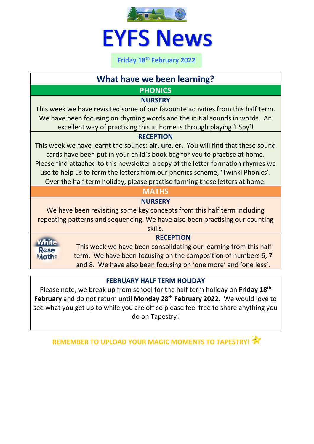

# **EYFS News**

**Friday 18 th February 2022**

# **What have we been learning?**

# **PHONICS**

## **NURSERY**

This week we have revisited some of our favourite activities from this half term. We have been focusing on rhyming words and the initial sounds in words. An excellent way of practising this at home is through playing 'I Spy'!

#### **RECEPTION**

This week we have learnt the sounds: **air, ure, er.** You will find that these sound cards have been put in your child's book bag for you to practise at home. Please find attached to this newsletter a copy of the letter formation rhymes we use to help us to form the letters from our phonics scheme, 'Twinkl Phonics'. Over the half term holiday, please practise forming these letters at home.

# **MATHS**

# **NURSERY**

We have been revisiting some key concepts from this half term including repeating patterns and sequencing. We have also been practising our counting skills.

White **R**OS **Maths** 

## **RECEPTION**

This week we have been consolidating our learning from this half term. We have been focusing on the composition of numbers 6, 7 and 8. We have also been focusing on 'one more' and 'one less'.

## **FEBRUARY HALF TERM HOLIDAY**

Please note, we break up from school for the half term holiday on **Friday 18 th February** and do not return until **Monday 28th February 2022.** We would love to see what you get up to while you are off so please feel free to share anything you do on Tapestry!

**REMEMBER TO UPLOAD YOUR MAGIC MOMENTS TO TAPESTRY!**